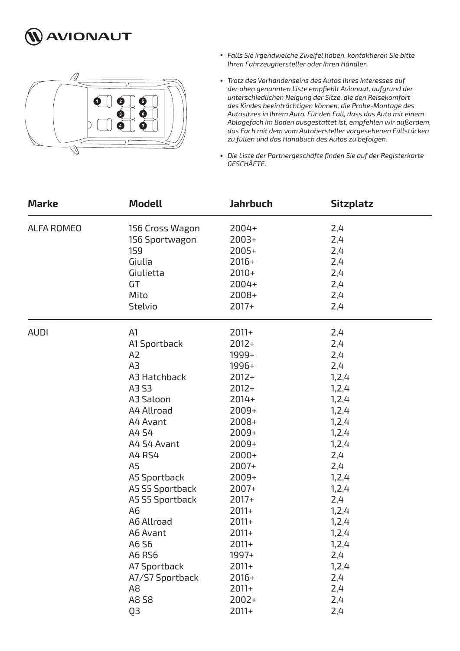



- *Falls Sie irgendwelche Zweifel haben, kontaktieren Sie bitte Ihren Fahrzeughersteller oder Ihren Händler.*
- *Trotz des Vorhandenseins des Autos Ihres Interesses auf der oben genannten Liste empfiehlt Avionaut, aufgrund der unterschiedlichen Neigung der Sitze, die den Reisekomfort des Kindes beeinträchtigen können, die Probe-Montage des Autositzes in Ihrem Auto. Für den Fall, dass das Auto mit einem Ablagefach im Boden ausgestattet ist, empfehlen wir außerdem, das Fach mit dem vom Autohersteller vorgesehenen Füllstücken zu füllen und das Handbuch des Autos zu befolgen.*
- *Die Liste der Partnergeschäfte finden Sie auf der Registerkarte GESCHÄFTE.*

| <b>Marke</b>      | <b>Modell</b>                                                                                                                                                                                                                                                                                                                                                       | Jahrbuch                                                                                                                                                                                                                                                                   | <b>Sitzplatz</b>                                                                                                                                                                                                             |  |
|-------------------|---------------------------------------------------------------------------------------------------------------------------------------------------------------------------------------------------------------------------------------------------------------------------------------------------------------------------------------------------------------------|----------------------------------------------------------------------------------------------------------------------------------------------------------------------------------------------------------------------------------------------------------------------------|------------------------------------------------------------------------------------------------------------------------------------------------------------------------------------------------------------------------------|--|
| <b>ALFA ROMEO</b> | 156 Cross Wagon<br>156 Sportwagon<br>159<br>Giulia<br>Giulietta<br>GT<br>Mito<br><b>Stelvio</b>                                                                                                                                                                                                                                                                     | 2004+<br>$2003+$<br>$2005+$<br>$2016+$<br>$2010+$<br>2004+<br>2008+<br>$2017+$                                                                                                                                                                                             | 2,4<br>2,4<br>2,4<br>2,4<br>2,4<br>2,4<br>2,4<br>2,4                                                                                                                                                                         |  |
| <b>AUDI</b>       | A1<br>A1 Sportback<br>A <sub>2</sub><br>A <sub>3</sub><br>A3 Hatchback<br>A3 S3<br>A3 Saloon<br>A4 Allroad<br>A4 Avant<br>A4 S4<br>A4 S4 Avant<br>A4 RS4<br>A <sub>5</sub><br>A5 Sportback<br>A5 S5 Sportback<br>A5 S5 Sportback<br>A <sub>6</sub><br>A6 Allroad<br>A6 Avant<br>A6 S6<br>A6 RS6<br>A7 Sportback<br>A7/S7 Sportback<br>A <sub>8</sub><br>A8 58<br>QЗ | $2011+$<br>$2012+$<br>1999+<br>1996+<br>$2012+$<br>$2012+$<br>$2014+$<br>$2009+$<br>$2008+$<br>2009+<br>2009+<br>2000+<br>2007+<br>2009+<br>$2007+$<br>$2017+$<br>$2011+$<br>$2011+$<br>$2011+$<br>$2011+$<br>1997+<br>$2011+$<br>$2016+$<br>$2011+$<br>$2002+$<br>$2011+$ | 2,4<br>2,4<br>2,4<br>2,4<br>1,2,4<br>1, 2, 4<br>1, 2, 4<br>1,2,4<br>1, 2, 4<br>1,2,4<br>1, 2, 4<br>2,4<br>2,4<br>1,2,4<br>1, 2, 4<br>2,4<br>1, 2, 4<br>1,2,4<br>1, 2, 4<br>1,2,4<br>2,4<br>1,2,4<br>2,4<br>2,4<br>2,4<br>2,4 |  |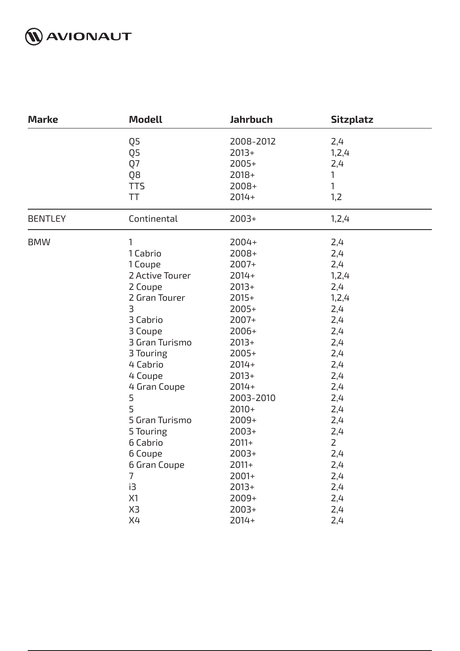

| <b>Marke</b>   | <b>Modell</b>   | <b>Jahrbuch</b> | <b>Sitzplatz</b> |  |
|----------------|-----------------|-----------------|------------------|--|
|                | Q5              | 2008-2012       | 2,4              |  |
|                | Q5              | $2013+$         | 1,2,4            |  |
|                | Q7              | $2005+$         | 2,4              |  |
|                | Q8              | $2018+$         | 1                |  |
|                | <b>TTS</b>      | 2008+           | $\mathbf{1}$     |  |
|                | TT              | $2014+$         | 1,2              |  |
| <b>BENTLEY</b> | Continental     | $2003+$         | 1,2,4            |  |
| <b>BMW</b>     | 1               | 2004+           | 2,4              |  |
|                | 1 Cabrio        | 2008+           | 2,4              |  |
|                | 1 Coupe         | 2007+           | 2,4              |  |
|                | 2 Active Tourer | $2014+$         | 1,2,4            |  |
|                | 2 Coupe         | $2013+$         | 2,4              |  |
|                | 2 Gran Tourer   | $2015+$         | 1, 2, 4          |  |
|                | 3               | $2005+$         | 2,4              |  |
|                | 3 Cabrio        | 2007+           | 2,4              |  |
|                | 3 Coupe         | $2006+$         | 2,4              |  |
|                | 3 Gran Turismo  | $2013+$         | 2,4              |  |
|                | 3 Touring       | $2005+$         | 2,4              |  |
|                | 4 Cabrio        | $2014+$         | 2,4              |  |
|                | 4 Coupe         | $2013+$         | 2,4              |  |
|                | 4 Gran Coupe    | $2014+$         | 2,4              |  |
|                | 5               | 2003-2010       | 2,4              |  |
|                | 5               | $2010+$         | 2,4              |  |
|                | 5 Gran Turismo  | 2009+           | 2,4              |  |
|                | 5 Touring       | $2003+$         | 2,4              |  |
|                | 6 Cabrio        | $2011+$         | $\overline{2}$   |  |
|                | 6 Coupe         | $2003+$         | 2,4              |  |
|                | 6 Gran Coupe    | $2011+$         | 2,4              |  |
|                | 7               | $2001+$         | 2,4              |  |
|                | i3              | $2013+$         | 2,4              |  |
|                | X1              | 2009+           | 2,4              |  |
|                | X3              | $2003+$         | 2,4              |  |
|                | X4              | $2014+$         | 2,4              |  |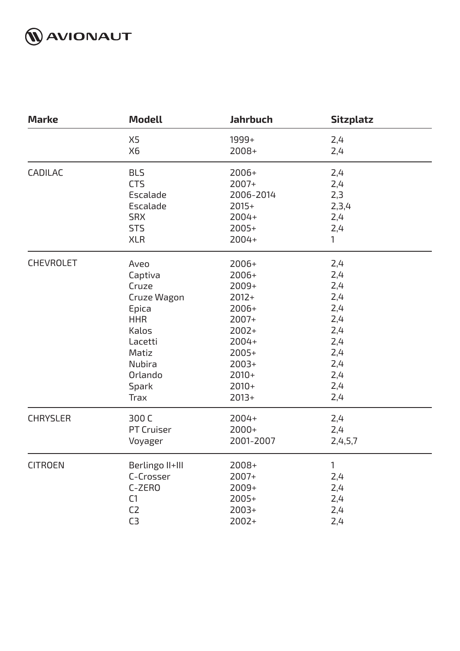

| <b>Marke</b>     | <b>Modell</b>                                                                                                                                          | <b>Jahrbuch</b>                                                                                                                       | <b>Sitzplatz</b>                                                                        |  |
|------------------|--------------------------------------------------------------------------------------------------------------------------------------------------------|---------------------------------------------------------------------------------------------------------------------------------------|-----------------------------------------------------------------------------------------|--|
|                  | X5<br>X6                                                                                                                                               | 1999+<br>$2008+$                                                                                                                      | 2,4<br>2,4                                                                              |  |
| <b>CADILAC</b>   | <b>BLS</b><br><b>CTS</b><br>Escalade<br>Escalade<br><b>SRX</b><br><b>STS</b><br><b>XLR</b>                                                             | $2006+$<br>$2007+$<br>2006-2014<br>$2015+$<br>2004+<br>$2005+$<br>2004+                                                               | 2,4<br>2,4<br>2,3<br>2,3,4<br>2,4<br>2,4<br>$\mathbf{1}$                                |  |
| <b>CHEVROLET</b> | Aveo<br>Captiva<br>Cruze<br>Cruze Wagon<br>Epica<br><b>HHR</b><br>Kalos<br>Lacetti<br>Matiz<br><b>Nubira</b><br>Orlando<br><b>Spark</b><br><b>Trax</b> | 2006+<br>$2006+$<br>$2009+$<br>$2012+$<br>$2006+$<br>2007+<br>$2002+$<br>2004+<br>$2005+$<br>$2003+$<br>$2010+$<br>$2010+$<br>$2013+$ | 2,4<br>2,4<br>2,4<br>2,4<br>2,4<br>2,4<br>2,4<br>2,4<br>2,4<br>2,4<br>2,4<br>2,4<br>2,4 |  |
| <b>CHRYSLER</b>  | 300 C<br><b>PT Cruiser</b><br>Voyager                                                                                                                  | 2004+<br>$2000+$<br>2001-2007                                                                                                         | 2,4<br>2,4<br>2,4,5,7                                                                   |  |
| <b>CITROEN</b>   | Berlingo II+III<br>C-Crosser<br>C-ZERO<br>C1<br>C <sub>2</sub><br>C <sub>3</sub>                                                                       | 2008+<br>2007+<br>$2009+$<br>2005+<br>$2003+$<br>2002+                                                                                | 1<br>2,4<br>2,4<br>2,4<br>2,4<br>2,4                                                    |  |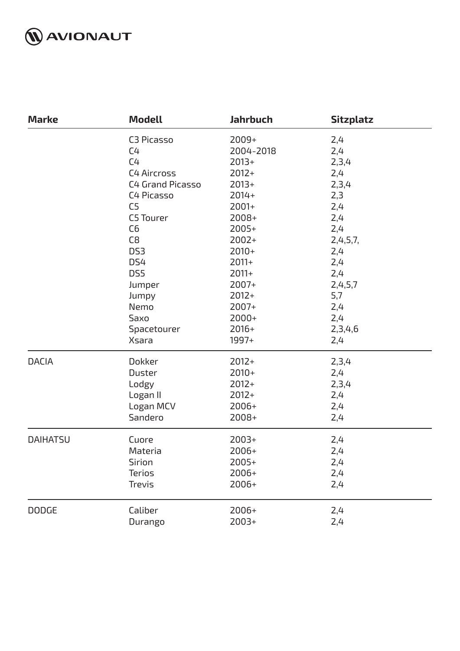

| <b>Marke</b>    | <b>Modell</b>           | <b>Jahrbuch</b> | <b>Sitzplatz</b> |  |
|-----------------|-------------------------|-----------------|------------------|--|
|                 | C3 Picasso              | 2009+           | 2,4              |  |
|                 | C <sub>4</sub>          | 2004-2018       | 2,4              |  |
|                 | C <sub>4</sub>          | $2013+$         | 2,3,4            |  |
|                 | <b>C4 Aircross</b>      | $2012+$         | 2,4              |  |
|                 | <b>C4 Grand Picasso</b> | $2013+$         | 2,3,4            |  |
|                 | C4 Picasso              | $2014+$         | 2,3              |  |
|                 | C <sub>5</sub>          | $2001+$         | 2,4              |  |
|                 | C5 Tourer               | 2008+           | 2,4              |  |
|                 | C <sub>6</sub>          | 2005+           | 2,4              |  |
|                 | C <sub>8</sub>          | $2002+$         | 2,4,5,7,         |  |
|                 | DS <sub>3</sub>         | $2010+$         | 2,4              |  |
|                 | DS4                     | $2011+$         | 2,4              |  |
|                 | DS5                     | $2011+$         | 2,4              |  |
|                 | Jumper                  | $2007+$         | 2,4,5,7          |  |
|                 | Jumpy                   | $2012+$         | 5,7              |  |
|                 | Nemo                    | 2007+           | 2,4              |  |
|                 | Saxo                    | 2000+           | 2,4              |  |
|                 | Spacetourer             | $2016+$         | 2,3,4,6          |  |
|                 | <b>Xsara</b>            | 1997+           | 2,4              |  |
| <b>DACIA</b>    | Dokker                  | $2012+$         | 2,3,4            |  |
|                 | Duster                  | $2010+$         | 2,4              |  |
|                 | Lodgy                   | $2012+$         | 2,3,4            |  |
|                 | Logan II                | $2012+$         | 2,4              |  |
|                 | Logan MCV               | 2006+           | 2,4              |  |
|                 | Sandero                 | 2008+           | 2,4              |  |
| <b>DAIHATSU</b> | Cuore                   | $2003+$         | 2,4              |  |
|                 | Materia                 | 2006+           | 2,4              |  |
|                 | <b>Sirion</b>           | 2005+           | 2,4              |  |
|                 | <b>Terios</b>           | 2006+           | 2,4              |  |
|                 | <b>Trevis</b>           | 2006+           | 2,4              |  |
| <b>DODGE</b>    | Caliber                 | 2006+           | 2,4              |  |
|                 | Durango                 | $2003+$         | 2,4              |  |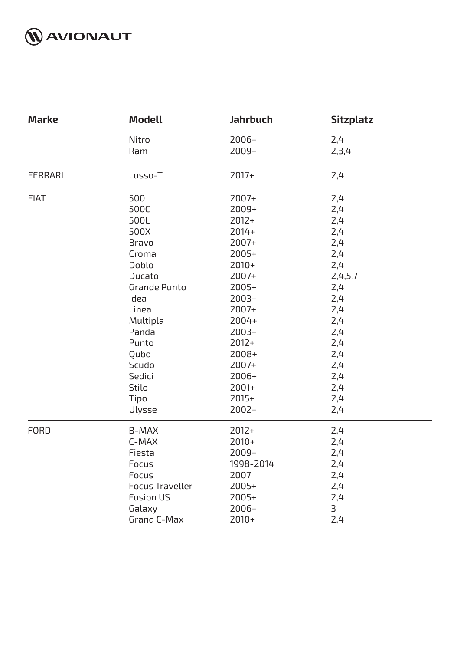

| <b>Marke</b>   | <b>Modell</b>          | <b>Jahrbuch</b> | <b>Sitzplatz</b> |  |
|----------------|------------------------|-----------------|------------------|--|
|                | Nitro                  | $2006+$         | 2,4              |  |
|                | Ram                    | 2009+           | 2,3,4            |  |
| <b>FERRARI</b> | Lusso-T                | $2017+$         | 2,4              |  |
| <b>FIAT</b>    | 500                    | $2007+$         | 2,4              |  |
|                | 500C                   | $2009+$         | 2,4              |  |
|                | 500L                   | $2012+$         | 2,4              |  |
|                | 500X                   | $2014+$         | 2,4              |  |
|                | <b>Bravo</b>           | $2007+$         | 2,4              |  |
|                | Croma                  | $2005+$         | 2,4              |  |
|                | Doblo                  | $2010+$         | 2,4              |  |
|                | Ducato                 | $2007+$         | 2,4,5,7          |  |
|                | <b>Grande Punto</b>    | $2005+$         | 2,4              |  |
|                | Idea                   | $2003+$         | 2,4              |  |
|                | Linea                  | $2007+$         | 2,4              |  |
|                | Multipla               | 2004+           | 2,4              |  |
|                | Panda                  | $2003+$         | 2,4              |  |
|                | Punto                  | $2012+$         | 2,4              |  |
|                | Qubo                   | $2008+$         | 2,4              |  |
|                | Scudo                  | 2007+           | 2,4              |  |
|                | Sedici                 | $2006+$         | 2,4              |  |
|                | <b>Stilo</b>           | $2001+$         | 2,4              |  |
|                | Tipo                   | $2015+$         | 2,4              |  |
|                | Ulysse                 | $2002+$         | 2,4              |  |
| <b>FORD</b>    | <b>B-MAX</b>           | $2012+$         | 2,4              |  |
|                | C-MAX                  | $2010+$         | 2,4              |  |
|                | Fiesta                 | $2009+$         | 2,4              |  |
|                | Focus                  | 1998-2014       | 2,4              |  |
|                | Focus                  | 2007            | 2,4              |  |
|                | <b>Focus Traveller</b> | $2005+$         | 2,4              |  |
|                | <b>Fusion US</b>       | $2005+$         | 2,4              |  |
|                | Galaxy                 | $2006+$         | 3                |  |
|                | Grand C-Max            | 2010+           | 2,4              |  |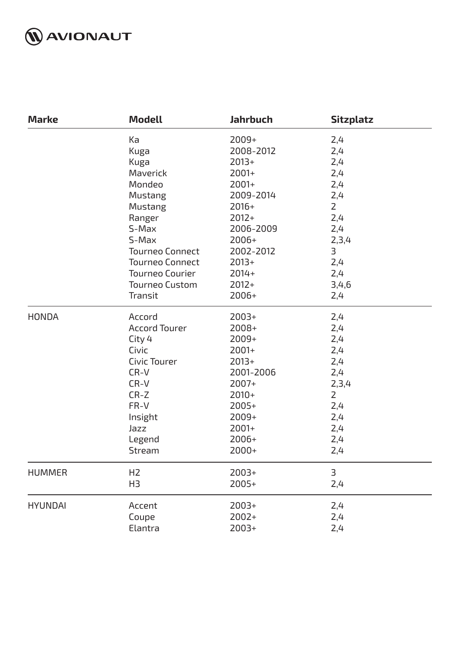

| <b>Marke</b>   | <b>Modell</b>                                                                                                                                                                                                       | <b>Jahrbuch</b>                                                                                                                                                         | <b>Sitzplatz</b>                                                                                                   |  |
|----------------|---------------------------------------------------------------------------------------------------------------------------------------------------------------------------------------------------------------------|-------------------------------------------------------------------------------------------------------------------------------------------------------------------------|--------------------------------------------------------------------------------------------------------------------|--|
|                | Ka<br>Kuga<br>Kuga<br>Maverick<br>Mondeo<br>Mustang<br><b>Mustang</b><br>Ranger<br>S-Max<br>S-Max<br><b>Tourneo Connect</b><br><b>Tourneo Connect</b><br><b>Tourneo Courier</b><br><b>Tourneo Custom</b><br>Transit | $2009+$<br>2008-2012<br>$2013+$<br>$2001+$<br>$2001+$<br>2009-2014<br>$2016+$<br>$2012+$<br>2006-2009<br>$2006+$<br>2002-2012<br>$2013+$<br>$2014+$<br>$2012+$<br>2006+ | 2,4<br>2,4<br>2,4<br>2,4<br>2,4<br>2,4<br>$\overline{2}$<br>2,4<br>2,4<br>2,3,4<br>3<br>2,4<br>2,4<br>3,4,6<br>2,4 |  |
| <b>HONDA</b>   | Accord<br><b>Accord Tourer</b><br>City 4<br>Civic<br>Civic Tourer<br>CR-V<br>$CR-V$<br>$CR-Z$<br>FR-V<br>Insight<br>Jazz<br>Legend<br>Stream                                                                        | $2003+$<br>$2008+$<br>$2009+$<br>$2001+$<br>$2013+$<br>2001-2006<br>$2007+$<br>$2010+$<br>$2005+$<br>$2009+$<br>$2001+$<br>$2006+$<br>2000+                             | 2,4<br>2,4<br>2,4<br>2,4<br>2,4<br>2,4<br>2,3,4<br>$\overline{2}$<br>2,4<br>2,4<br>2,4<br>2,4<br>2,4               |  |
| <b>HUMMER</b>  | H <sub>2</sub><br>H <sub>3</sub>                                                                                                                                                                                    | $2003+$<br>2005+                                                                                                                                                        | 3<br>2,4                                                                                                           |  |
| <b>HYUNDAI</b> | Accent<br>Coupe<br>Elantra                                                                                                                                                                                          | $2003+$<br>$2002+$<br>$2003+$                                                                                                                                           | 2,4<br>2,4<br>2,4                                                                                                  |  |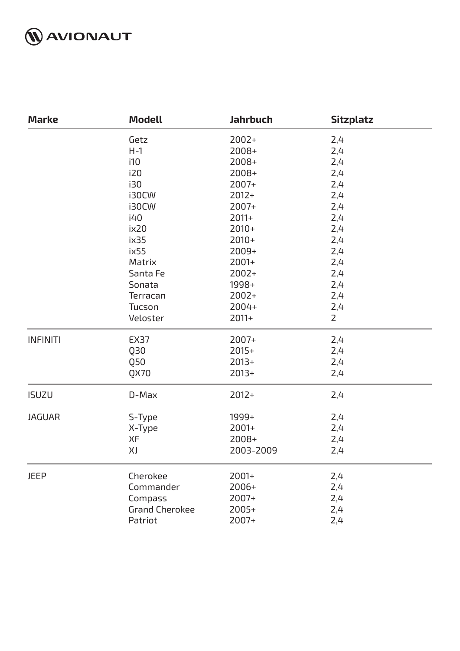

| Getz<br>$2002+$<br>2,4<br>$H-1$<br>2008+<br>2,4<br>i10<br>2008+<br>2,4<br>i20<br>2,4<br>2008+<br>2,4<br>i30<br>$2007+$<br>2,4<br>i30CW<br>$2012+$<br>i30CW<br>$2007+$<br>2,4<br>i40<br>$2011+$<br>2,4<br>ix20<br>$2010+$<br>2,4<br>ix35<br>2,4<br>$2010+$<br>ix55<br>2,4<br>$2009+$<br>Matrix<br>$2001+$<br>2,4<br>2,4<br>$2002+$<br>Santa Fe<br>1998+<br>2,4<br>Sonata<br>$2002+$<br>2,4<br>Terracan<br>2004+<br>2,4<br>Tucson<br>$\overline{2}$<br>Veloster<br>$2011+$<br><b>INFINITI</b><br><b>EX37</b><br>$2007+$<br>2,4<br>Q30<br>2,4<br>$2015+$<br>Q50<br>2,4<br>$2013+$<br>QX70<br>$2013+$<br>2,4<br><b>ISUZU</b><br>$D-Max$<br>$2012+$<br>2,4<br>2,4<br><b>JAGUAR</b><br>S-Type<br>1999+<br>$2001+$<br>2,4<br>X-Type |
|------------------------------------------------------------------------------------------------------------------------------------------------------------------------------------------------------------------------------------------------------------------------------------------------------------------------------------------------------------------------------------------------------------------------------------------------------------------------------------------------------------------------------------------------------------------------------------------------------------------------------------------------------------------------------------------------------------------------------|
|                                                                                                                                                                                                                                                                                                                                                                                                                                                                                                                                                                                                                                                                                                                              |
|                                                                                                                                                                                                                                                                                                                                                                                                                                                                                                                                                                                                                                                                                                                              |
|                                                                                                                                                                                                                                                                                                                                                                                                                                                                                                                                                                                                                                                                                                                              |
|                                                                                                                                                                                                                                                                                                                                                                                                                                                                                                                                                                                                                                                                                                                              |
|                                                                                                                                                                                                                                                                                                                                                                                                                                                                                                                                                                                                                                                                                                                              |
|                                                                                                                                                                                                                                                                                                                                                                                                                                                                                                                                                                                                                                                                                                                              |
|                                                                                                                                                                                                                                                                                                                                                                                                                                                                                                                                                                                                                                                                                                                              |
|                                                                                                                                                                                                                                                                                                                                                                                                                                                                                                                                                                                                                                                                                                                              |
|                                                                                                                                                                                                                                                                                                                                                                                                                                                                                                                                                                                                                                                                                                                              |
|                                                                                                                                                                                                                                                                                                                                                                                                                                                                                                                                                                                                                                                                                                                              |
|                                                                                                                                                                                                                                                                                                                                                                                                                                                                                                                                                                                                                                                                                                                              |
|                                                                                                                                                                                                                                                                                                                                                                                                                                                                                                                                                                                                                                                                                                                              |
|                                                                                                                                                                                                                                                                                                                                                                                                                                                                                                                                                                                                                                                                                                                              |
|                                                                                                                                                                                                                                                                                                                                                                                                                                                                                                                                                                                                                                                                                                                              |
|                                                                                                                                                                                                                                                                                                                                                                                                                                                                                                                                                                                                                                                                                                                              |
|                                                                                                                                                                                                                                                                                                                                                                                                                                                                                                                                                                                                                                                                                                                              |
|                                                                                                                                                                                                                                                                                                                                                                                                                                                                                                                                                                                                                                                                                                                              |
|                                                                                                                                                                                                                                                                                                                                                                                                                                                                                                                                                                                                                                                                                                                              |
|                                                                                                                                                                                                                                                                                                                                                                                                                                                                                                                                                                                                                                                                                                                              |
|                                                                                                                                                                                                                                                                                                                                                                                                                                                                                                                                                                                                                                                                                                                              |
|                                                                                                                                                                                                                                                                                                                                                                                                                                                                                                                                                                                                                                                                                                                              |
|                                                                                                                                                                                                                                                                                                                                                                                                                                                                                                                                                                                                                                                                                                                              |
|                                                                                                                                                                                                                                                                                                                                                                                                                                                                                                                                                                                                                                                                                                                              |
|                                                                                                                                                                                                                                                                                                                                                                                                                                                                                                                                                                                                                                                                                                                              |
| <b>XF</b><br>$2008+$<br>2,4                                                                                                                                                                                                                                                                                                                                                                                                                                                                                                                                                                                                                                                                                                  |
| XJ<br>2003-2009<br>2,4                                                                                                                                                                                                                                                                                                                                                                                                                                                                                                                                                                                                                                                                                                       |
| <b>JEEP</b><br>Cherokee<br>2001+<br>2,4                                                                                                                                                                                                                                                                                                                                                                                                                                                                                                                                                                                                                                                                                      |
| 2,4<br>Commander<br>2006+                                                                                                                                                                                                                                                                                                                                                                                                                                                                                                                                                                                                                                                                                                    |
| 2,4<br>Compass<br>2007+                                                                                                                                                                                                                                                                                                                                                                                                                                                                                                                                                                                                                                                                                                      |
| <b>Grand Cherokee</b><br>2,4<br>$2005+$                                                                                                                                                                                                                                                                                                                                                                                                                                                                                                                                                                                                                                                                                      |
| Patriot<br>2007+<br>2,4                                                                                                                                                                                                                                                                                                                                                                                                                                                                                                                                                                                                                                                                                                      |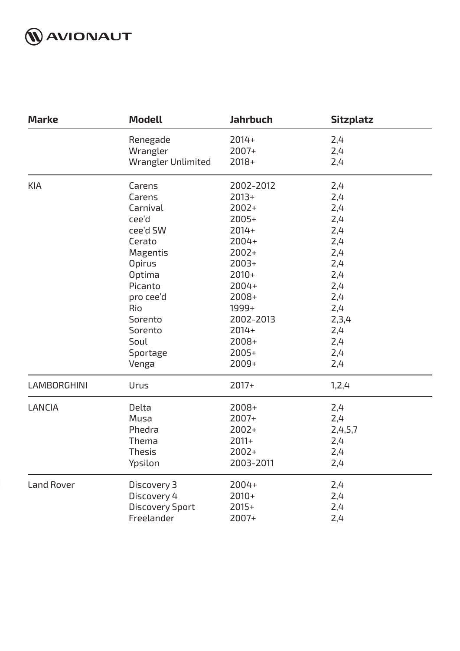

| <b>Marke</b>       | <b>Modell</b>                                                                                                                                                                        | <b>Jahrbuch</b>                                                                                                                                                                 | <b>Sitzplatz</b>                                                                                                      |  |
|--------------------|--------------------------------------------------------------------------------------------------------------------------------------------------------------------------------------|---------------------------------------------------------------------------------------------------------------------------------------------------------------------------------|-----------------------------------------------------------------------------------------------------------------------|--|
|                    | Renegade<br>Wrangler<br><b>Wrangler Unlimited</b>                                                                                                                                    | $2014+$<br>$2007+$<br>$2018+$                                                                                                                                                   | 2,4<br>2,4<br>2,4                                                                                                     |  |
| <b>KIA</b>         | Carens<br>Carens<br>Carnival<br>cee'd<br>cee'd SW<br>Cerato<br>Magentis<br><b>Opirus</b><br>Optima<br>Picanto<br>pro cee'd<br>Rio<br>Sorento<br>Sorento<br>Soul<br>Sportage<br>Venga | 2002-2012<br>$2013+$<br>$2002+$<br>$2005+$<br>$2014+$<br>2004+<br>$2002+$<br>$2003+$<br>$2010+$<br>2004+<br>2008+<br>1999+<br>2002-2013<br>$2014+$<br>2008+<br>$2005+$<br>2009+ | 2,4<br>2,4<br>2,4<br>2,4<br>2,4<br>2,4<br>2,4<br>2,4<br>2,4<br>2,4<br>2,4<br>2,4<br>2,3,4<br>2,4<br>2,4<br>2,4<br>2,4 |  |
| <b>LAMBORGHINI</b> | Urus                                                                                                                                                                                 | $2017+$                                                                                                                                                                         | 1,2,4                                                                                                                 |  |
| <b>LANCIA</b>      | Delta<br>Musa<br>Phedra<br>Thema<br><b>Thesis</b><br>Ypsilon                                                                                                                         | $2008+$<br>$2007+$<br>$2002+$<br>$2011+$<br>2002+<br>2003-2011                                                                                                                  | 2,4<br>2,4<br>2,4,5,7<br>2,4<br>2,4<br>2,4                                                                            |  |
| <b>Land Rover</b>  | Discovery 3<br>Discovery 4<br><b>Discovery Sport</b><br>Freelander                                                                                                                   | $2004+$<br>$2010+$<br>$2015+$<br>2007+                                                                                                                                          | 2,4<br>2,4<br>2,4<br>2,4                                                                                              |  |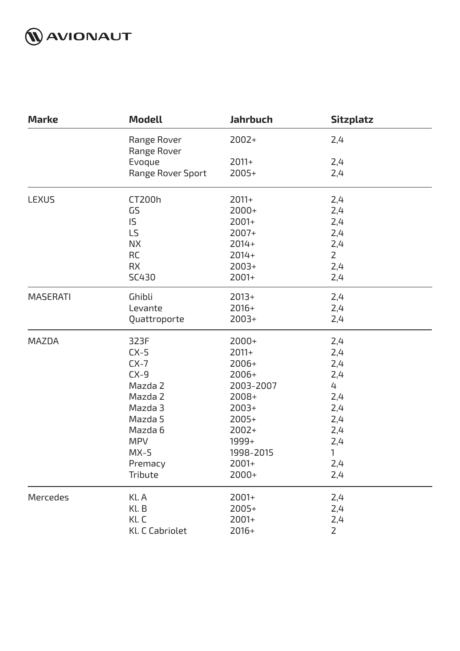

| <b>Marke</b>    | <b>Modell</b>              | <b>Jahrbuch</b> | <b>Sitzplatz</b> |  |
|-----------------|----------------------------|-----------------|------------------|--|
|                 | Range Rover<br>Range Rover | $2002+$         | 2,4              |  |
|                 | Evoque                     | $2011+$         | 2,4              |  |
|                 | Range Rover Sport          | $2005+$         | 2,4              |  |
| <b>LEXUS</b>    | CT200h                     | $2011+$         | 2,4              |  |
|                 | GS                         | $2000+$         | 2,4              |  |
|                 | IS.                        | $2001+$         | 2,4              |  |
|                 | LS                         | $2007+$         | 2,4              |  |
|                 | <b>NX</b>                  | $2014+$         | 2,4              |  |
|                 | <b>RC</b>                  | $2014+$         | $\overline{2}$   |  |
|                 | <b>RX</b>                  | $2003+$         | 2,4              |  |
|                 | SC430                      | 2001+           | 2,4              |  |
| <b>MASERATI</b> | Ghibli                     | $2013+$         | 2,4              |  |
|                 | Levante                    | $2016+$         | 2,4              |  |
|                 | Quattroporte               | $2003+$         | 2,4              |  |
| <b>MAZDA</b>    | 323F                       | $2000+$         | 2,4              |  |
|                 | $CX-5$                     | $2011+$         | 2,4              |  |
|                 | $CX-7$                     | 2006+           | 2,4              |  |
|                 | $CX-9$                     | $2006+$         | 2,4              |  |
|                 | Mazda 2                    | 2003-2007       | 4                |  |
|                 | Mazda 2                    | $2008+$         | 2,4              |  |
|                 | Mazda 3                    | $2003+$         | 2,4              |  |
|                 | Mazda 5                    | $2005+$         | 2,4              |  |
|                 | Mazda 6                    | $2002+$         | 2,4              |  |
|                 | <b>MPV</b>                 | 1999+           | 2,4              |  |
|                 | $MX-5$                     | 1998-2015       | 1                |  |
|                 | Premacy                    | $2001+$         | 2,4              |  |
|                 | Tribute                    | $2000+$         | 2,4              |  |
| Mercedes        | Kl. A                      | 2001+           | 2,4              |  |
|                 | Kl. B                      | $2005+$         | 2,4              |  |
|                 | Kl. C                      | 2001+           | 2,4              |  |
|                 | Kl. C Cabriolet            | $2016+$         | $\overline{2}$   |  |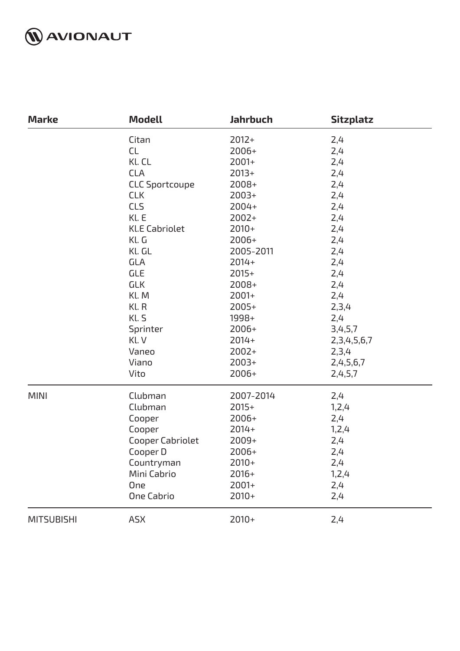

| <b>Marke</b>      | <b>Modell</b>         | <b>Jahrbuch</b> | <b>Sitzplatz</b> |  |
|-------------------|-----------------------|-----------------|------------------|--|
|                   | Citan                 | $2012+$         | 2,4              |  |
|                   | <b>CL</b>             | $2006+$         | 2,4              |  |
|                   | Kl. CL                | $2001+$         | 2,4              |  |
|                   | <b>CLA</b>            | $2013+$         | 2,4              |  |
|                   | <b>CLC Sportcoupe</b> | $2008+$         | 2,4              |  |
|                   | <b>CLK</b>            | $2003+$         | 2,4              |  |
|                   | <b>CLS</b>            | $2004+$         | 2,4              |  |
|                   | Kl. E                 | 2002+           | 2,4              |  |
|                   | <b>Kl.E Cabriolet</b> | $2010+$         | 2,4              |  |
|                   | Kl. G                 | $2006+$         | 2,4              |  |
|                   | Kl. GL                | 2005-2011       | 2,4              |  |
|                   | <b>GLA</b>            | $2014+$         | 2,4              |  |
|                   | <b>GLE</b>            | $2015+$         | 2,4              |  |
|                   | <b>GLK</b>            | 2008+           | 2,4              |  |
|                   | Kl. M                 | $2001+$         | 2,4              |  |
|                   | Kl. R                 | 2005+           | 2,3,4            |  |
|                   | Kl. S                 | 1998+           | 2,4              |  |
|                   | Sprinter              | 2006+           | 3,4,5,7          |  |
|                   | Kl. V                 | $2014+$         | 2, 3, 4, 5, 6, 7 |  |
|                   | Vaneo                 | $2002+$         | 2,3,4            |  |
|                   | Viano                 | $2003+$         | 2,4,5,6,7        |  |
|                   | Vito                  | 2006+           | 2,4,5,7          |  |
| <b>MINI</b>       | Clubman               | 2007-2014       | 2,4              |  |
|                   | Clubman               | $2015+$         | 1,2,4            |  |
|                   | Cooper                | $2006+$         | 2,4              |  |
|                   | Cooper                | $2014+$         | 1, 2, 4          |  |
|                   | Cooper Cabriolet      | 2009+           | 2,4              |  |
|                   | Cooper D              | 2006+           | 2,4              |  |
|                   | Countryman            | $2010+$         | 2,4              |  |
|                   | Mini Cabrio           | $2016+$         | 1, 2, 4          |  |
|                   | One                   | 2001+           | 2,4              |  |
|                   | <b>One Cabrio</b>     | $2010+$         | 2,4              |  |
| <b>MITSUBISHI</b> | <b>ASX</b>            | $2010+$         | 2,4              |  |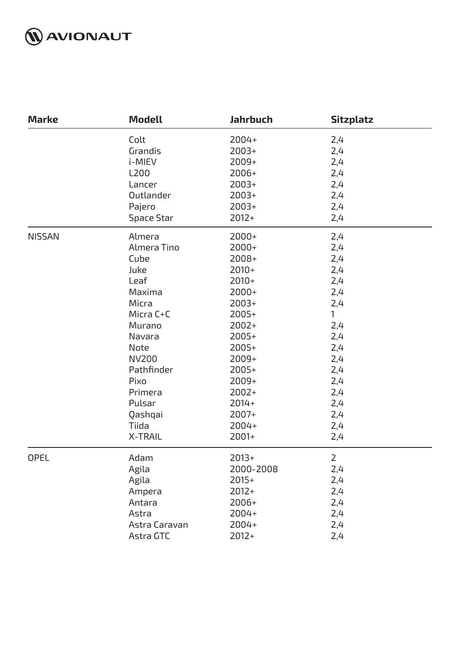

| <b>Marke</b>  | <b>Modell</b>     | Jahrbuch  | <b>Sitzplatz</b> |  |
|---------------|-------------------|-----------|------------------|--|
|               | Colt              | 2004+     | 2,4              |  |
|               | Grandis           | $2003+$   | 2,4              |  |
|               | i-MIEV            | $2009+$   | 2,4              |  |
|               | L200              | $2006+$   | 2,4              |  |
|               | Lancer            | $2003+$   | 2,4              |  |
|               | Outlander         | $2003+$   | 2,4              |  |
|               | Pajero            | $2003+$   | 2,4              |  |
|               | <b>Space Star</b> | $2012+$   | 2,4              |  |
| <b>NISSAN</b> | Almera            | $2000+$   | 2,4              |  |
|               | Almera Tino       | $2000+$   | 2,4              |  |
|               | Cube              | 2008+     | 2,4              |  |
|               | Juke              | $2010+$   | 2,4              |  |
|               | Leaf              | $2010+$   | 2,4              |  |
|               | Maxima            | $2000+$   | 2,4              |  |
|               | Micra             | $2003+$   | 2,4              |  |
|               | Micra C+C         | $2005+$   | 1                |  |
|               | Murano            | $2002+$   | 2,4              |  |
|               | Navara            | $2005+$   | 2,4              |  |
|               | Note              | $2005+$   | 2,4              |  |
|               | <b>NV200</b>      | $2009+$   | 2,4              |  |
|               | Pathfinder        | $2005+$   | 2,4              |  |
|               | Pixo              | $2009+$   | 2,4              |  |
|               | Primera           | $2002+$   | 2,4              |  |
|               | Pulsar            | $2014+$   | 2,4              |  |
|               | Qashqai           | 2007+     | 2,4              |  |
|               | Tiida             | 2004+     | 2,4              |  |
|               | <b>X-TRAIL</b>    | 2001+     | 2,4              |  |
| <b>OPEL</b>   | Adam              | $2013+$   | $\overline{2}$   |  |
|               | Agila             | 2000-2008 | 2,4              |  |
|               | Agila             | $2015+$   | 2,4              |  |
|               | Ampera            | $2012+$   | 2,4              |  |
|               | Antara            | $2006+$   | 2,4              |  |
|               | Astra             | 2004+     | 2,4              |  |
|               | Astra Caravan     | 2004+     | 2,4              |  |
|               | Astra GTC         | $2012+$   | 2,4              |  |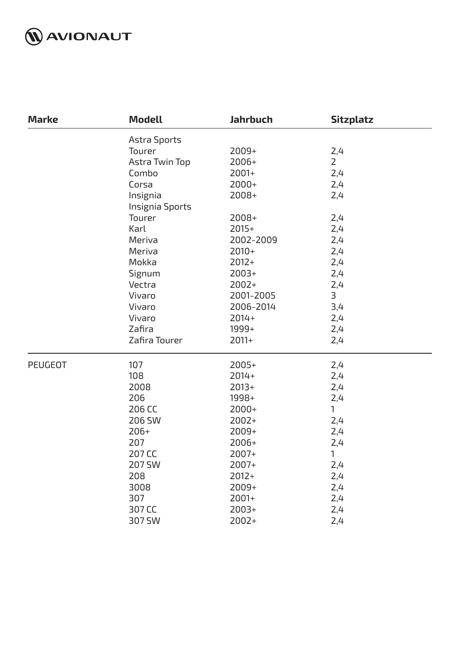

| <b>Marke</b>   | <b>Modell</b>   | <b>Jahrbuch</b> | <b>Sitzplatz</b> |  |
|----------------|-----------------|-----------------|------------------|--|
|                | Astra Sports    |                 |                  |  |
|                | Tourer          | $2009+$         | 2,4              |  |
|                | Astra Twin Top  | $2006+$         | $\overline{2}$   |  |
|                | Combo           | $2001+$         | 2,4              |  |
|                | Corsa           | $2000+$         | 2,4              |  |
|                | Insignia        | 2008+           | 2,4              |  |
|                | Insignia Sports |                 |                  |  |
|                | Tourer          | 2008+           | 2,4              |  |
|                | Karl            | $2015+$         | 2,4              |  |
|                | Meriva          | 2002-2009       | 2,4              |  |
|                | Meriva          | $2010+$         | 2,4              |  |
|                | Mokka           | $2012+$         | 2,4              |  |
|                | Signum          | $2003+$         | 2,4              |  |
|                | Vectra          | $2002+$         | 2,4              |  |
|                | Vivaro          | 2001-2005       | 3                |  |
|                | Vivaro          | 2006-2014       | 3,4              |  |
|                | Vivaro          | $2014+$         | 2,4              |  |
|                | Zafira          | 1999+           | 2,4              |  |
|                | Zafira Tourer   | $2011+$         | 2,4              |  |
| <b>PEUGEOT</b> | 107             | $2005+$         | 2,4              |  |
|                | 108             | $2014+$         | 2,4              |  |
|                | 2008            | $2013+$         | 2,4              |  |
|                | 206             | 1998+           | 2,4              |  |
|                | 206 CC          | $2000+$         | 1                |  |
|                | 206 SW          | $2002+$         | 2,4              |  |
|                | $206+$          | $2009+$         | 2,4              |  |
|                | 207             | 2006+           | 2,4              |  |
|                | 207 CC          | 2007+           | $\mathbf{1}$     |  |
|                | <b>207 SW</b>   | 2007+           | 2,4              |  |
|                | 208             | $2012+$         | 2,4              |  |
|                | 3008            | 2009+           | 2,4              |  |
|                | 307             | $2001+$         | 2,4              |  |
|                | 307 CC          | $2003+$         | 2,4              |  |
|                | 307 SW          | 2002+           | 2,4              |  |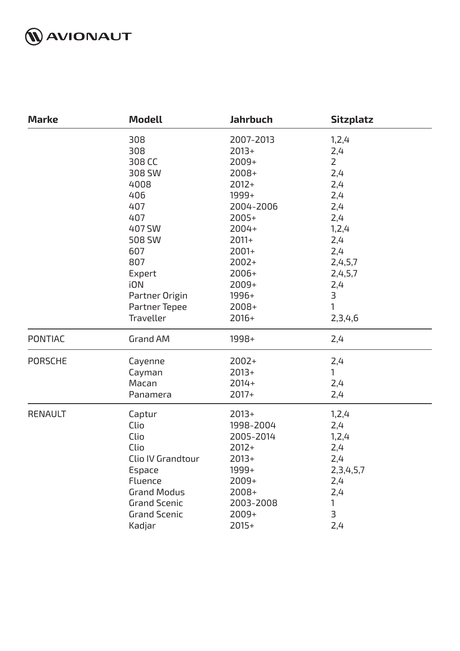

| <b>Marke</b>   | <b>Modell</b>       | <b>Jahrbuch</b> | <b>Sitzplatz</b>        |
|----------------|---------------------|-----------------|-------------------------|
|                | 308                 | 2007-2013       | 1,2,4                   |
|                | 308                 | $2013+$         | 2,4                     |
|                | 308 CC              | $2009+$         | $\overline{2}$          |
|                | 308 SW              | 2008+           | 2,4                     |
|                | 4008                | $2012+$         | 2,4                     |
|                | 406                 | 1999+           | 2,4                     |
|                | 407                 | 2004-2006       | 2,4                     |
|                | 407                 | 2005+           | 2,4                     |
|                | 407 SW              | 2004+           | 1,2,4                   |
|                | 508 SW              | $2011+$         | 2,4                     |
|                | 607                 | $2001+$         | 2,4                     |
|                | 807                 | 2002+           | 2,4,5,7                 |
|                | Expert              | 2006+           | 2,4,5,7                 |
|                | <b>iON</b>          | 2009+           | 2,4                     |
|                | Partner Origin      | 1996+           | 3                       |
|                | Partner Tepee       | 2008+           | 1                       |
|                | Traveller           | $2016+$         | 2,3,4,6                 |
| <b>PONTIAC</b> | <b>Grand AM</b>     | 1998+           | 2,4                     |
| <b>PORSCHE</b> | Cayenne             | $2002+$         | 2,4                     |
|                | Cayman              | $2013+$         | 1                       |
|                | Macan               | $2014+$         | 2,4                     |
|                | Panamera            | $2017+$         | 2,4                     |
| <b>RENAULT</b> | Captur              | $2013+$         | 1,2,4                   |
|                | Clio                | 1998-2004       | 2,4                     |
|                | Clio                | 2005-2014       | 1, 2, 4                 |
|                | Clio                | $2012+$         | 2,4                     |
|                | Clio IV Grandtour   | $2013+$         | 2,4                     |
|                | Espace              | 1999+           | 2, 3, 4, 5, 7           |
|                | Fluence             | 2009+           | 2,4                     |
|                | <b>Grand Modus</b>  | 2008+           | 2,4                     |
|                | <b>Grand Scenic</b> | 2003-2008       | 1                       |
|                | <b>Grand Scenic</b> | 2009+           | $\overline{\mathsf{B}}$ |
|                | Kadjar              | $2015+$         | 2,4                     |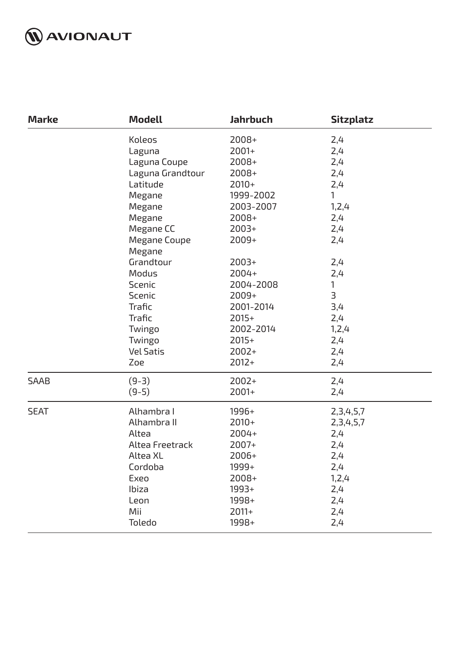

| <b>Marke</b> | <b>Modell</b>                                                                                                                                                                                                                                                           | <b>Jahrbuch</b>                                                                                                                                                                                                          | <b>Sitzplatz</b>                                                                                                                                                            |
|--------------|-------------------------------------------------------------------------------------------------------------------------------------------------------------------------------------------------------------------------------------------------------------------------|--------------------------------------------------------------------------------------------------------------------------------------------------------------------------------------------------------------------------|-----------------------------------------------------------------------------------------------------------------------------------------------------------------------------|
|              | Koleos<br>Laguna<br>Laguna Coupe<br>Laguna Grandtour<br>Latitude<br>Megane<br>Megane<br>Megane<br>Megane CC<br><b>Megane Coupe</b><br>Megane<br>Grandtour<br>Modus<br><b>Scenic</b><br><b>Scenic</b><br>Trafic<br>Trafic<br>Twingo<br>Twingo<br><b>Vel Satis</b><br>Zoe | 2008+<br>$2001+$<br>2008+<br>2008+<br>$2010+$<br>1999-2002<br>2003-2007<br>$2008+$<br>$2003+$<br>2009+<br>$2003+$<br>2004+<br>2004-2008<br>$2009+$<br>2001-2014<br>$2015+$<br>2002-2014<br>$2015+$<br>$2002+$<br>$2012+$ | 2,4<br>2,4<br>2,4<br>2,4<br>2,4<br>1<br>1, 2, 4<br>2,4<br>2,4<br>2,4<br>2,4<br>2,4<br>$\mathbf{1}$<br>$\overline{\mathsf{B}}$<br>3,4<br>2,4<br>1, 2, 4<br>2,4<br>2,4<br>2,4 |
| <b>SAAB</b>  | $(9-3)$                                                                                                                                                                                                                                                                 | $2002+$                                                                                                                                                                                                                  | 2,4                                                                                                                                                                         |
|              | $(9-5)$                                                                                                                                                                                                                                                                 | 2001+                                                                                                                                                                                                                    | 2,4                                                                                                                                                                         |
| <b>SEAT</b>  | Alhambra I                                                                                                                                                                                                                                                              | 1996+                                                                                                                                                                                                                    | 2, 3, 4, 5, 7                                                                                                                                                               |
|              | Alhambra II                                                                                                                                                                                                                                                             | $2010+$                                                                                                                                                                                                                  | 2, 3, 4, 5, 7                                                                                                                                                               |
|              | Altea                                                                                                                                                                                                                                                                   | 2004+                                                                                                                                                                                                                    | 2,4                                                                                                                                                                         |
|              | Altea Freetrack                                                                                                                                                                                                                                                         | 2007+                                                                                                                                                                                                                    | 2,4                                                                                                                                                                         |
|              | Altea XL                                                                                                                                                                                                                                                                | 2006+                                                                                                                                                                                                                    | 2,4                                                                                                                                                                         |
|              | Cordoba                                                                                                                                                                                                                                                                 | 1999+                                                                                                                                                                                                                    | 2,4                                                                                                                                                                         |
|              | Exeo                                                                                                                                                                                                                                                                    | 2008+                                                                                                                                                                                                                    | 1, 2, 4                                                                                                                                                                     |
|              | Ibiza                                                                                                                                                                                                                                                                   | 1993+                                                                                                                                                                                                                    | 2,4                                                                                                                                                                         |
|              | Leon                                                                                                                                                                                                                                                                    | 1998+                                                                                                                                                                                                                    | 2,4                                                                                                                                                                         |
|              | Mii                                                                                                                                                                                                                                                                     | $2011+$                                                                                                                                                                                                                  | 2,4                                                                                                                                                                         |
|              | Toledo                                                                                                                                                                                                                                                                  | 1998+                                                                                                                                                                                                                    | 2,4                                                                                                                                                                         |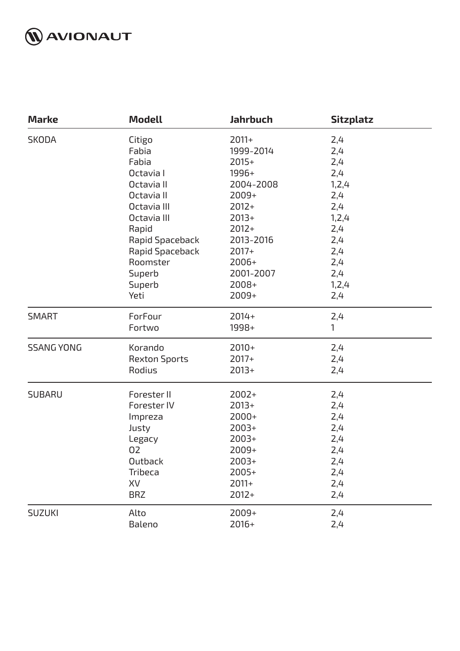

| <b>Marke</b>      | <b>Modell</b>                                                                                                                                                                  | <b>Jahrbuch</b>                                                                                                                                              | <b>Sitzplatz</b>                                                                                           |  |
|-------------------|--------------------------------------------------------------------------------------------------------------------------------------------------------------------------------|--------------------------------------------------------------------------------------------------------------------------------------------------------------|------------------------------------------------------------------------------------------------------------|--|
| <b>SKODA</b>      | Citigo<br>Fabia<br>Fabia<br>Octavia I<br>Octavia II<br>Octavia II<br>Octavia III<br>Octavia III<br>Rapid<br>Rapid Spaceback<br>Rapid Spaceback<br>Roomster<br>Superb<br>Superb | $2011+$<br>1999-2014<br>$2015+$<br>1996+<br>2004-2008<br>$2009+$<br>$2012+$<br>$2013+$<br>$2012+$<br>2013-2016<br>$2017+$<br>$2006+$<br>2001-2007<br>$2008+$ | 2,4<br>2,4<br>2,4<br>2,4<br>1, 2, 4<br>2,4<br>2,4<br>1, 2, 4<br>2,4<br>2,4<br>2,4<br>2,4<br>2,4<br>1, 2, 4 |  |
|                   | Yeti                                                                                                                                                                           | 2009+                                                                                                                                                        | 2,4                                                                                                        |  |
| <b>SMART</b>      | ForFour<br>Fortwo                                                                                                                                                              | $2014+$<br>1998+                                                                                                                                             | 2,4<br>1                                                                                                   |  |
| <b>SSANG YONG</b> | Korando<br><b>Rexton Sports</b><br>Rodius                                                                                                                                      | $2010+$<br>$2017+$<br>$2013+$                                                                                                                                | 2,4<br>2,4<br>2,4                                                                                          |  |
| <b>SUBARU</b>     | Forester II<br>Forester IV<br>Impreza<br>Justy<br>Legacy<br>02<br>Outback<br>Tribeca<br>XV<br><b>BRZ</b>                                                                       | $2002+$<br>$2013+$<br>$2000+$<br>$2003+$<br>$2003+$<br>2009+<br>2003+<br>2005+<br>$2011+$<br>$2012+$                                                         | 2,4<br>2,4<br>2,4<br>2,4<br>2,4<br>2,4<br>2,4<br>2,4<br>2,4<br>2,4                                         |  |
| <b>SUZUKI</b>     | Alto<br>Baleno                                                                                                                                                                 | 2009+<br>$2016+$                                                                                                                                             | 2,4<br>2,4                                                                                                 |  |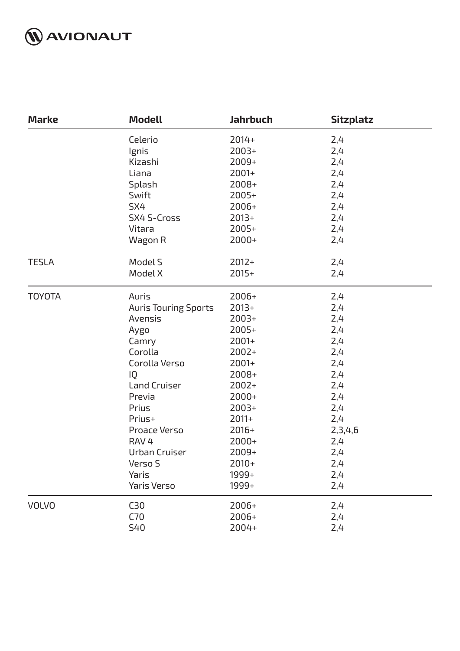

| <b>Marke</b>  | <b>Modell</b>               | Jahrbuch | <b>Sitzplatz</b> |
|---------------|-----------------------------|----------|------------------|
|               | Celerio                     | $2014+$  | 2,4              |
|               | Ignis                       | $2003+$  | 2,4              |
|               | Kizashi                     | $2009+$  | 2,4              |
|               | Liana                       | $2001+$  | 2,4              |
|               | Splash                      | 2008+    | 2,4              |
|               | Swift                       | $2005+$  | 2,4              |
|               | SX4                         | $2006+$  | 2,4              |
|               | SX4 S-Cross                 | $2013+$  | 2,4              |
|               | Vitara                      | $2005+$  | 2,4              |
|               | Wagon R                     | $2000+$  | 2,4              |
| <b>TESLA</b>  | Model S                     | $2012+$  | 2,4              |
|               | Model X                     | $2015+$  | 2,4              |
| <b>TOYOTA</b> | Auris                       | 2006+    | 2,4              |
|               | <b>Auris Touring Sports</b> | $2013+$  | 2,4              |
|               | Avensis                     | $2003+$  | 2,4              |
|               | Aygo                        | $2005+$  | 2,4              |
|               | Camry                       | $2001+$  | 2,4              |
|               | Corolla                     | $2002+$  | 2,4              |
|               | Corolla Verso               | $2001+$  | 2,4              |
|               | IQ                          | 2008+    | 2,4              |
|               | <b>Land Cruiser</b>         | $2002+$  | 2,4              |
|               | Previa                      | $2000+$  | 2,4              |
|               | Prius                       | $2003+$  | 2,4              |
|               | Prius+                      | $2011+$  | 2,4              |
|               | Proace Verso                | $2016+$  | 2,3,4,6          |
|               | RAV <sub>4</sub>            | $2000+$  | 2,4              |
|               | Urban Cruiser               | $2009+$  | 2,4              |
|               | Verso S                     | $2010+$  | 2,4              |
|               | Yaris                       | 1999+    | 2,4              |
|               | <b>Yaris Verso</b>          | 1999+    | 2,4              |
| <b>VOLVO</b>  | C30                         | $2006+$  | 2,4              |
|               | C70                         | 2006+    | 2,4              |
|               | <b>S40</b>                  | 2004+    | 2,4              |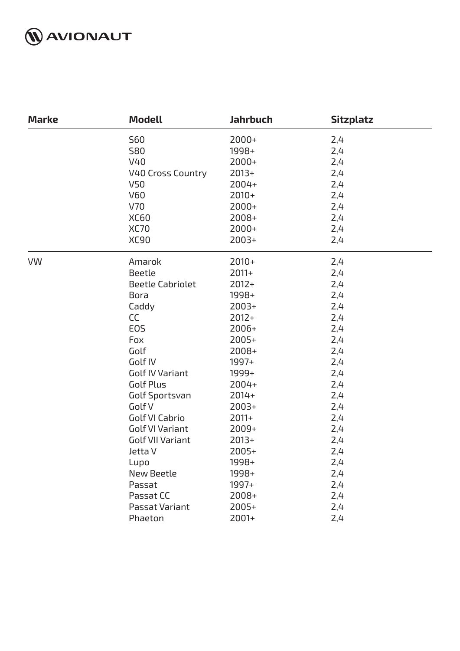

| <b>Marke</b> | <b>Modell</b>            | Jahrbuch | <b>Sitzplatz</b> |  |
|--------------|--------------------------|----------|------------------|--|
|              | <b>S60</b>               | $2000+$  | 2,4              |  |
|              | <b>S80</b>               | 1998+    | 2,4              |  |
|              | V40                      | $2000+$  | 2,4              |  |
|              | <b>V40 Cross Country</b> | $2013+$  | 2,4              |  |
|              | V <sub>50</sub>          | 2004+    | 2,4              |  |
|              | <b>V60</b>               | $2010+$  | 2,4              |  |
|              | V70                      | $2000+$  | 2,4              |  |
|              | <b>XC60</b>              | $2008+$  | 2,4              |  |
|              | <b>XC70</b>              | $2000+$  | 2,4              |  |
|              | <b>XC90</b>              | $2003+$  | 2,4              |  |
| VW           | Amarok                   | $2010+$  | 2,4              |  |
|              | <b>Beetle</b>            | $2011+$  | 2,4              |  |
|              | <b>Beetle Cabriolet</b>  | $2012+$  | 2,4              |  |
|              | <b>Bora</b>              | 1998+    | 2,4              |  |
|              | Caddy                    | $2003+$  | 2,4              |  |
|              | <b>CC</b>                | $2012+$  | 2,4              |  |
|              | EOS                      | $2006+$  | 2,4              |  |
|              | Fox                      | $2005+$  | 2,4              |  |
|              | Golf                     | $2008+$  | 2,4              |  |
|              | Golf IV                  | 1997+    | 2,4              |  |
|              | <b>Golf IV Variant</b>   | 1999+    | 2,4              |  |
|              | Golf Plus                | 2004+    | 2,4              |  |
|              | Golf Sportsvan           | $2014+$  | 2,4              |  |
|              | Golf V                   | $2003+$  | 2,4              |  |
|              | Golf VI Cabrio           | $2011+$  | 2,4              |  |
|              | <b>Golf VI Variant</b>   | $2009+$  | 2,4              |  |
|              | <b>Golf VII Variant</b>  | $2013+$  | 2,4              |  |
|              | Jetta V                  | $2005+$  | 2,4              |  |
|              | Lupo                     | 1998+    | 2,4              |  |
|              | <b>New Beetle</b>        | 1998+    | 2,4              |  |
|              | Passat                   | 1997+    | 2,4              |  |
|              | Passat CC                | $2008+$  | 2,4              |  |
|              | Passat Variant           | $2005+$  | 2,4              |  |
|              | Phaeton                  | $2001+$  | 2,4              |  |